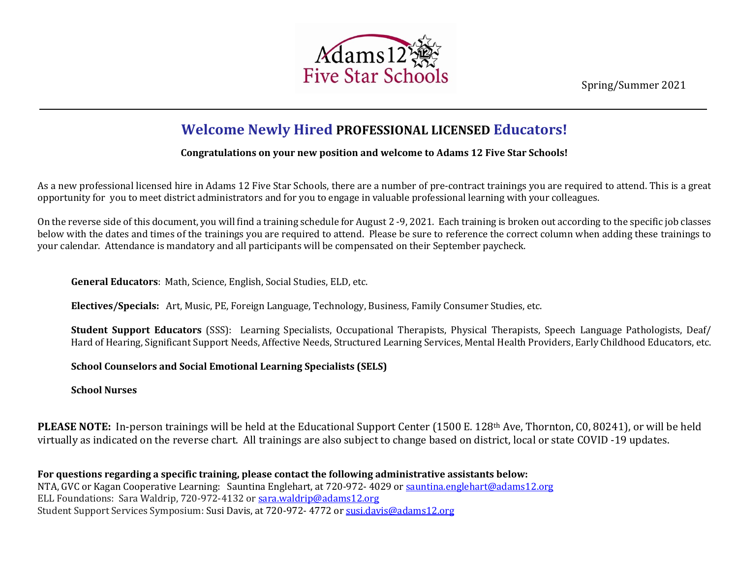Spring/Summer 2021



## **Welcome Newly Hired PROFESSIONAL LICENSED Educators!** c

## **Congratulations on your new position and welcome to Adams 12 Five Star Schools!** t i

As a new professional licensed hire in Adams 12 Five Star Schools, there are a number of pre-contract trainings you are required to attend. This is a great n opportunity for you to meet district administrators and for you to engage in valuable professional learning with your colleagues. a l

On the reverse side of this document, you will find a training schedule for August 2 -9, 2021. Each training is broken out according to the specific job classes S below with the dates and times of the trainings you are required to attend. Please be sure to reference the correct column when adding these trainings to p your calendar. Attendance is mandatory and all participants will be compensated on their September paycheck. p  $\ddot{\epsilon}$ 

General Educators: Math, Science, English, Social Studies, ELD, etc.  $\ddot{\phantom{0}}$ 

d

**Electives/Specials:** Art, Music, PE, Foreign Language, Technology, Business, Family Consumer Studies, etc. e n

**Student Support Educators** (SSS): Learning Specialists, Occupational Therapists, Physical Therapists, Speech Language Pathologists, Deaf/ Hard of Hearing, Significant Support Needs, Affective Needs, Structured Learning Services, Mental Health Providers, Early Childhood Educators, etc. r <u>u</u>

**School Counselors and Social Emotional Learning Specialists (SELS)** *n*

**School Nurses**

PLEASE NOTE: In-person trainings will be held at the Educational Support Center (1500 E. 128<sup>th</sup> Ave, Thornton, C0, 80241), or will be held virtually as indicated on the reverse chart. All trainings are also subject to change based on district, local or state COVID -19 updates. *n o*

**For questions regarding a specific training, please contact the following administrative assistants below:**  *o* NTA, GVC or Kagan Cooperative Learning: Sauntina Englehart, at 720-972- 4029 o[r sauntina.englehart@adams12.org](mailto:sauntina.englehart@adams12.org) *g* ELL Foundations: Sara Waldrip, 720-972-4132 or [sara.waldrip@adams12.org](mailto:sara.waldrip@adams12.org) *r* Student Support Services Symposium: Susi Davis, at 720-972- 4772 or [susi.davis@adams12.org](mailto:susi.davis@adams12.org) *a m*